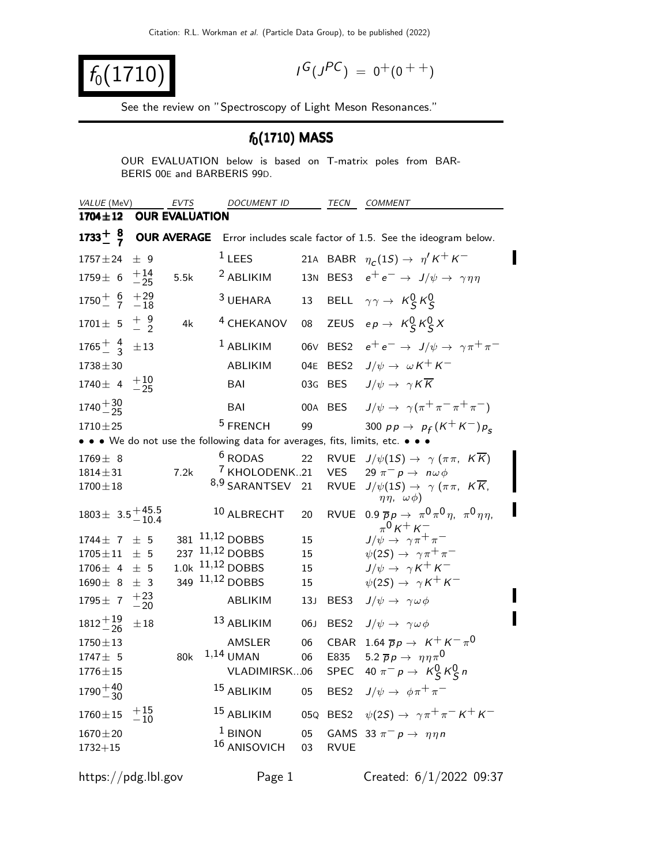$f_0(1710)$ 

$$
I^G(J^{PC}) = 0^+(0^{++})
$$

See the review on "Spectroscopy of Light Meson Resonances."

## $f_0(1710)$  MASS

OUR EVALUATION below is based on T-matrix poles from BAR-BERIS 00E and BARBERIS 99D.

| VALUE (MeV)               | EVTS                   | <i>DOCUMENT ID</i>                                                            |                 | TECN        | <b>COMMENT</b>                                                                                   |
|---------------------------|------------------------|-------------------------------------------------------------------------------|-----------------|-------------|--------------------------------------------------------------------------------------------------|
| $1704 \pm 12$             | <b>OUR EVALUATION</b>  |                                                                               |                 |             |                                                                                                  |
| $1733^{+8}_{-7}$          | <b>OUR AVERAGE</b>     |                                                                               |                 |             | Error includes scale factor of 1.5. See the ideogram below.                                      |
| $1757 \pm 24$             | ± 9                    | $1$ LEES                                                                      |                 |             | 21A BABR $\eta_c(1S) \rightarrow \eta' K^+ K^-$                                                  |
| $1759 \pm 6$              | $^{+14}_{-25}$<br>5.5k | $2$ ABLIKIM                                                                   |                 |             | 13N BES3 $e^+e^- \rightarrow J/\psi \rightarrow \gamma \eta \eta$                                |
| $1750 + 6 + 29$<br>7 - 18 |                        | <sup>3</sup> UEHARA                                                           | 13              |             | BELL $\gamma \gamma \rightarrow K_S^0 K_S^0$                                                     |
| $1701 \pm 5 \pm 9$        | 4k                     | <sup>4</sup> CHEKANOV                                                         | 08              |             | ZEUS $ep \rightarrow K_S^0 K_S^0 X$                                                              |
| $1765 + 4 + 13$           |                        | $1$ ABLIKIM                                                                   |                 |             | 06V BES2 $e^+e^- \rightarrow J/\psi \rightarrow \gamma \pi^+ \pi^-$                              |
| $1738 + 30$               |                        | ABLIKIM                                                                       |                 |             | 04E BES2 $J/\psi \rightarrow \omega K^+ K^-$                                                     |
| 1740 ± 4 $+10$<br>-25     |                        | <b>BAI</b>                                                                    | 03G             | BES         | $J/\psi \rightarrow \gamma K \overline{K}$                                                       |
| $1740 + \frac{30}{25}$    |                        | BAI                                                                           |                 | 00A BES     | $J/\psi \rightarrow \gamma(\pi^+\pi^-\pi^+\pi^-)$                                                |
| $1710 \pm 25$             |                        | $5$ FRENCH                                                                    | 99              |             | 300 $p p \to p_f (K^+ K^-) p_s$                                                                  |
|                           |                        | • • • We do not use the following data for averages, fits, limits, etc. • • • |                 |             |                                                                                                  |
| $1769 \pm 8$              |                        | <sup>6</sup> RODAS                                                            | 22              |             | RVUE $J/\psi(1S) \rightarrow \gamma (\pi \pi, K \overline{K})$                                   |
| $1814 \pm 31$             | 7.2k                   | <sup>7</sup> KHOLODENK21                                                      |                 | <b>VES</b>  | 29 $\pi^- p \to n \omega \phi$                                                                   |
| $1700 \pm 18$             |                        | 8,9 SARANTSEV 21                                                              |                 |             | RVUE $J/\psi(1S) \rightarrow \gamma (\pi \pi, K \overline{K})$<br>$\eta\eta$ , $\omega\phi$ )    |
| $1803 \pm 3.5 + 45.5$     |                        | 10 ALBRECHT                                                                   | 20              |             | RVUE 0.9 $\overline{p}p \rightarrow \pi^0 \pi^0 \eta$ , $\pi^0 \eta \eta$ ,<br>$\pi^{0}$ K + K – |
| $1744 \pm 7 \pm 5$        |                        | 381 11,12 DOBBS                                                               | 15              |             | $J/\psi \rightarrow \gamma \pi^+ \pi^-$                                                          |
| $1705 \pm 11$             | ± 5                    | 237 11,12 DOBBS                                                               | 15              |             | $\psi(2S) \rightarrow \gamma \pi^+ \pi^-$                                                        |
| $1706 \pm 4$<br>$\pm$ 5   |                        | 1.0k 11,12 DOBBS                                                              | 15              |             | $J/\psi \rightarrow \gamma K^+ K^-$                                                              |
| $1690 \pm 8$<br>$\pm$ 3   | 349                    | $11,12$ DOBBS                                                                 | 15              |             | $\psi(2S) \rightarrow \gamma K^+ K^-$                                                            |
| 1795 ± 7 $+23$<br>-20     |                        | ABLIKIM                                                                       | 13 <sub>J</sub> | BES3        | $J/\psi \rightarrow \gamma \omega \phi$                                                          |
| $1812 + \frac{19}{26}$    | $\pm 18$               | 13 ABLIKIM                                                                    | 06J             |             | BES2 $J/\psi \rightarrow \gamma \omega \phi$                                                     |
| $1750 \pm 13$             |                        | AMSLER                                                                        | 06              |             | CBAR 1.64 $\overline{p}p \rightarrow K^+ K^- \pi^0$                                              |
| 1747± 5                   | 80k                    | $1,14$ UMAN                                                                   | 06              | E835        | 5.2 $\overline{p}p \rightarrow \eta \eta \pi^0$                                                  |
| $1776 \pm 15$             |                        | VLADIMIRSK06                                                                  |                 | SPEC        | 40 $\pi^- p \to K^0_S K^0_S n$                                                                   |
| $1790 + 40$<br>$-30$      |                        |                                                                               |                 |             | <sup>15</sup> ABLIKIM 05 BES2 $J/\psi \rightarrow \phi \pi^+ \pi^-$                              |
| $1760 \pm 15$             | $^{+15}_{-10}$         | 15 ABLIKIM                                                                    |                 |             | 05Q BES2 $\psi(2S) \to \gamma \pi^+ \pi^- K^+ K^-$                                               |
| $1670 \pm 20$             |                        | $1$ BINON                                                                     | 05              |             | GAMS 33 $\pi^- p \rightarrow \eta \eta n$                                                        |
| $1732 + 15$               |                        | 16 ANISOVICH                                                                  | 03              | <b>RVUE</b> |                                                                                                  |
| https://pdg.lbl.gov       |                        | Page 1                                                                        |                 |             | Created: 6/1/2022 09:37                                                                          |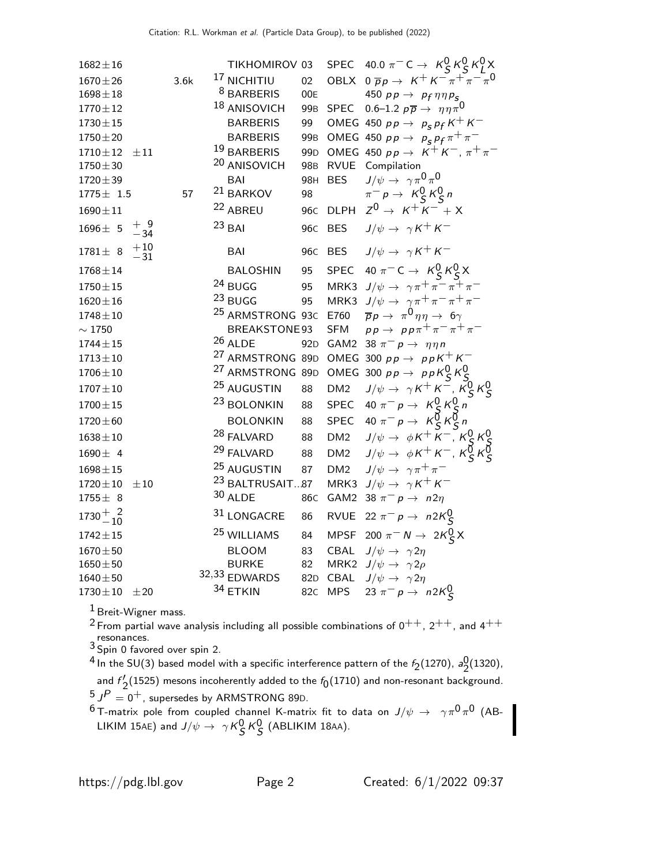| $1682 \pm 16$       |                         |      | TIKHOMIROV 03               |                 |                 | SPEC 40.0 $\pi^{-}$ C $\rightarrow$ $K_S^0 K_S^0 K_I^0 X$       |
|---------------------|-------------------------|------|-----------------------------|-----------------|-----------------|-----------------------------------------------------------------|
| $1670 \pm 26$       |                         | 3.6k | <sup>17</sup> NICHITIU      | 02 <sub>2</sub> |                 | OBLX $0 \overline{p} p \rightarrow K^+ K^- \pi^+ \pi^- \pi^0$   |
| $1698 \pm 18$       |                         |      | <sup>8</sup> BARBERIS       | 00E             |                 | 450 $pp \rightarrow pp \eta \eta p_{S}$                         |
| $1770 \pm 12$       |                         |      | <sup>18</sup> ANISOVICH     | 99 <sub>B</sub> | SPEC            | 0.6–1.2 $p\overline{p} \rightarrow \eta \eta \pi^0$             |
| $1730\pm15$         |                         |      | <b>BARBERIS</b>             | 99              |                 | OMEG 450 $p p \rightarrow p_S p_f K^+ K^-$                      |
| $1750 \pm 20$       |                         |      | <b>BARBERIS</b>             | 99 <sub>B</sub> |                 | OMEG 450 $pp \rightarrow p_S p_f \pi^+ \pi^-$                   |
| $1710 \pm 12$       | $\pm\,11$               |      | 19 BARBERIS                 | 99 <sub>D</sub> |                 | OMEG 450 $pp \rightarrow K^+ K^-$ , $\pi^+ \pi^-$               |
| $1750 \pm 30$       |                         |      | <sup>20</sup> ANISOVICH     | 98 <sub>B</sub> | <b>RVUE</b>     | Compilation                                                     |
| $1720 \pm 39$       |                         |      | BAI                         | 98H             | <b>BES</b>      | $J/\psi \rightarrow \gamma \pi^0 \pi^0$                         |
| $1775 \pm 1.5$      |                         | 57   | <sup>21</sup> BARKOV        | 98              |                 | $\pi^- p \to K^0_S K^0_S n$                                     |
| $1690 \pm 11$       |                         |      | 22 ABREU                    | 96 <sub>C</sub> |                 | DLPH $Z^0 \rightarrow K^+ K^- + X$                              |
| $1696 \pm 5$        | $^{+}_{-34}$            |      | $23$ BAI                    | 96 <sub>C</sub> | <b>BES</b>      | $J/\psi \rightarrow \gamma K^+ K^-$                             |
| $1781 \pm 8$        | $\substack{+10 \\ -31}$ |      | <b>BAI</b>                  | 96 <sub>C</sub> |                 | BES $J/\psi \rightarrow \gamma K^+ K^-$                         |
| $1768 \pm 14$       |                         |      | <b>BALOSHIN</b>             | 95              |                 | SPEC 40 $\pi^-$ C $\rightarrow$ $K_S^0 K_S^0 X$                 |
| $1750\pm15$         |                         |      | 24 BUGG                     | 95              |                 | MRK3 $J/\psi \rightarrow \gamma \pi^+ \pi^- \pi^+ \pi^-$        |
| $1620 \pm 16$       |                         |      | 23 BUGG                     | 95              |                 | MRK3 $J/\psi \rightarrow \gamma \pi^+ \pi^- \pi^+ \pi^-$        |
| $1748 \pm 10$       |                         |      | <sup>25</sup> ARMSTRONG 93C |                 | E760            | $\overline{p}p \rightarrow \pi^0 \eta \eta \rightarrow 6\gamma$ |
| $\sim 1750$         |                         |      | BREAKSTONE93                |                 | <b>SFM</b>      | $pp \rightarrow pp\pi^+\pi^-\pi^+\pi^-$                         |
| $1744 \pm 15$       |                         |      | $26$ ALDE                   | 92 <sub>D</sub> |                 | GAM2 38 $\pi^- p \rightarrow \eta \eta n$                       |
| $1713 \pm 10$       |                         |      | <sup>27</sup> ARMSTRONG 89D |                 |                 | OMEG 300 $pp \rightarrow ppK^{+}K^{-}$                          |
| $1706\pm10$         |                         |      | <sup>27</sup> ARMSTRONG 89D |                 |                 | OMEG 300 $pp \rightarrow ppK_S^0K_S^0$                          |
| $1707 \pm 10$       |                         |      | <sup>25</sup> AUGUSTIN      | 88              | DM <sub>2</sub> | $J/\psi \rightarrow \gamma K^+ K^-$ , $K_S^0 K_S^0$             |
| $1700 \pm 15$       |                         |      | <sup>23</sup> BOLONKIN      | 88              |                 | SPEC 40 $\pi^- p \to K^0_S K^0_S n$                             |
| $1720 \pm 60$       |                         |      | <b>BOLONKIN</b>             | 88              |                 | SPEC 40 $\pi^- p \to K^{\overline{0}}_S K^{\overline{0}}_S n$   |
| $1638 \pm 10$       |                         |      | 28 FALVARD                  | 88              | DM <sub>2</sub> | $J/\psi \rightarrow \phi K^+ K^-$ , $K_S^0 K_S^0$               |
| $1690 \pm 4$        |                         |      | 29 FALVARD                  | 88              | DM <sub>2</sub> | $J/\psi \rightarrow \phi K^+ K^-$ , $K_S^{\overline{0}} K_S^0$  |
| $1698 \pm 15$       |                         |      | <sup>25</sup> AUGUSTIN      | 87              | DM <sub>2</sub> | $J/\psi \rightarrow \gamma \pi^+ \pi^-$                         |
| $1720 \pm 10$       | $\pm 10$                |      | <sup>23</sup> BALTRUSAIT87  |                 |                 | MRK3 $J/\psi \rightarrow \gamma K^+ K^-$                        |
| $1755 \pm 8$        |                         |      | 30 ALDE                     | 86 <sub>C</sub> | GAM2            | 38 $\pi^- p \to n2\eta$                                         |
| $1730 + 2$<br>$-10$ |                         |      | 31 LONGACRE                 | 86              | <b>RVUE</b>     | 22 $\pi^- p \rightarrow n2K_S^0$                                |
| $1742 \pm 15$       |                         |      | <sup>25</sup> WILLIAMS      | 84              | <b>MPSF</b>     | 200 $\pi^- N \to 2K^0_S X$                                      |
| $1670 + 50$         |                         |      | <b>BLOOM</b>                | 83              | CBAL            | $J/\psi \rightarrow \gamma 2\eta$                               |
| $1650 \pm 50$       |                         |      | <b>BURKE</b>                | 82              | MRK2            | $J/\psi \rightarrow \gamma 2\rho$                               |
| $1640\pm50$         |                         |      | 32,33 EDWARDS               | 82 <sub>D</sub> | CBAL            | $J/\psi \rightarrow \gamma 2\eta$                               |
| $1730 \pm 10$       | ±20                     |      | 34 ETKIN                    | 82 <sub>C</sub> | <b>MPS</b>      | 23 $\pi^- p \to n 2K_S^0$                                       |

1 Breit-Wigner mass.

<sup>2</sup> From partial wave analysis including all possible combinations of  $0^{++}$ ,  $2^{++}$ , and  $4^{++}$ resonances. 3 Spin 0 favored over spin 2.

 $^4$  In the SU(3) based model with a specific interference pattern of the  $f_{\rm 2}(1270)$ ,  $a_{\rm 2}^{\rm 0}$  $\frac{0}{2}$ (1320), and  $f'$  $\frac{1}{2}$ (1525) mesons incoherently added to the  $f_0(1710)$  and non-resonant background.  $^5$  J $^{\small{P}}=0^+$ , supersedes by <code>ARMSTRONG</code> 89D.

 $^6$ T-matrix pole from coupled channel K-matrix fit to data on  $J/\psi\,\rightarrow\,\,\,\gamma\pi^0\pi^0$  (AB-LIKIM 15AE) and  $J/\psi \rightarrow \gamma K_S^0 K_S^0$  (ABLIKIM 18AA).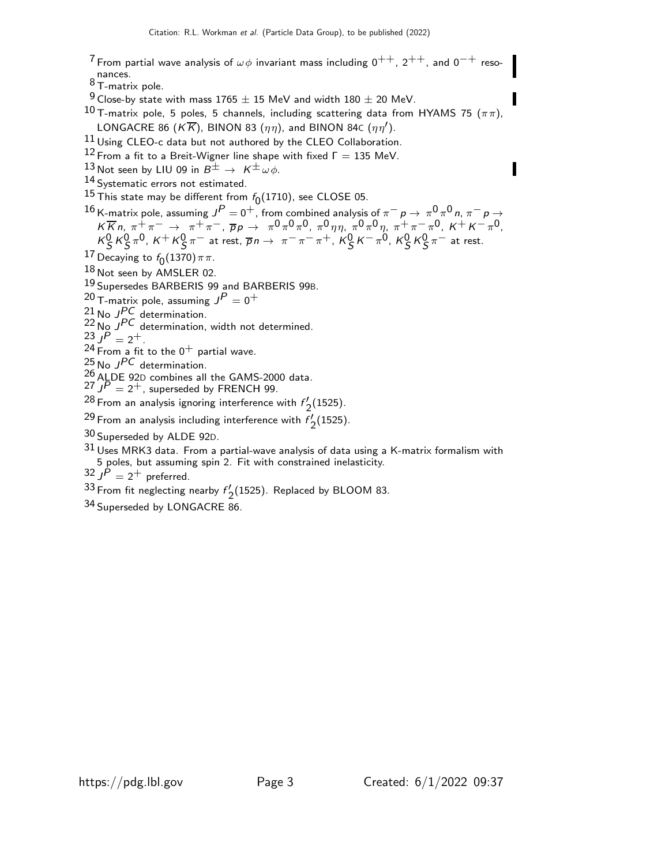7 From partial wave analysis of  $\omega \phi$  invariant mass including  $0^{++}$ ,  $2^{++}$ , and  $0^{-+}$  reso-

nances.<br><sup>8</sup> T-matrix pole.

 $9$  Close-by state with mass 1765  $\pm$  15 MeV and width 180  $\pm$  20 MeV.

 $^{10}$  T-matrix pole, 5 poles, 5 channels, including scattering data from HYAMS 75 ( $\pi\pi$ ), LONGACRE 86 ( $K\overline{K}$ ), BINON 83 ( $\eta\eta$ ), and BINON 84c ( $\eta\eta'$ ).

11 Using CLEO-c data but not authored by the CLEO Collaboration.

<sup>12</sup> From a fit to a Breit-Wigner line shape with fixed  $\Gamma = 135$  MeV.

13 Not seen by LIU 09 in  $B^{\pm} \rightarrow K^{\pm} \omega \phi$ .

14 Systematic errors not estimated.

 $^{15}$  This state may be different from  $f_0(1710)$ , see CLOSE 05.

16 K-matrix pole, assuming  $J^P=0^+$ , from combined analysis of  $\pi^ p\to\pi^0\pi^0$  n,  $\pi^ p\to\pi^0$  $K \overline{K} n$ ,  $\pi^+ \pi^ \to \pi^+ \pi^-$ ,  $\overline{p} p \to \pi^0 \pi^0 \pi^0$ ,  $\pi^0 \eta \eta$ ,  $\pi^0 \pi^0 \eta$ ,  $\pi^+ \pi^- \pi^0$ ,  $K^+ K^- \pi^0$ ,  $K_S^0 K_S^0 \pi^0$ ,  $K^+ K_S^0 \pi^-$  at rest,  $\overline{p}n \to \pi^- \pi^- \pi^+$ ,  $K_S^0 K^- \pi^0$ ,  $K_S^0 K_S^0 \pi^-$  at rest.

17 Decaying to  $f_0(1370)\pi\pi$ .

18 Not seen by AMSLER 02.

19 Supersedes BARBERIS 99 and BARBERIS 99B.

 $^{20}$  T-matrix pole, assuming  $J^P=0^+$ 

 $^{21}$  No JPC determination.

 $22$  No  $J<sup>PC</sup>$  determination, width not determined.

$$
^{23}P = 2^+.
$$

 $^{24}$  From a fit to the 0 $^+$  partial wave.

 $^{25}$  No  $J^{PC}$  determination.

 $^{26}$  ALDE 92D combines all the GAMS-2000 data.

 $27$   $J\overline{P} = 2^+$ , superseded by FRENCH 99.

 $^{28}$  From an analysis ignoring interference with  $f'$ .  $\frac{1}{2}$ (1525).

 $^{29}$  From an analysis including interference with  $f_{\rm c}^{f}$  $\frac{1}{2}$ (1525).

30 Superseded by ALDE 92D.

31 Uses MRK3 data. From a partial-wave analysis of data using a K-matrix formalism with 5 poles, but assuming spin 2. Fit with constrained inelasticity.

 $32$   $J^{\dot{P}} = 2^+$  preferred.

 $33$  From fit neglecting nearby  $f'$ .  $\frac{1}{2}$ (1525). Replaced by BLOOM 83.

34 Superseded by LONGACRE 86.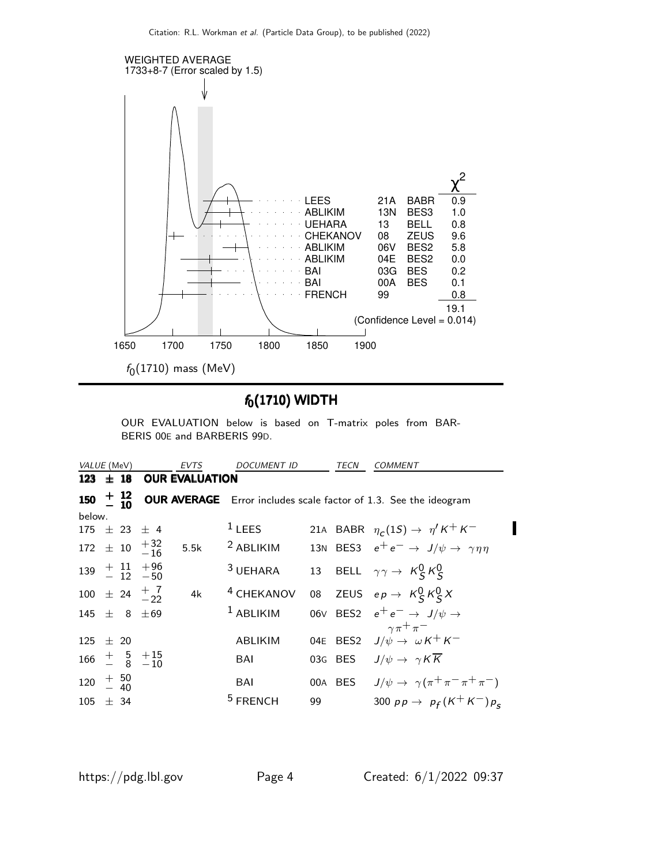

# $f_0(1710)$  WIDTH

OUR EVALUATION below is based on T-matrix poles from BAR-BERIS 00E and BARBERIS 99D.

| VALUE (MeV)          |  |                                                                 | <b>EVTS</b>           | <b>DOCUMENT ID</b>          |    | TECN | COMMENT                                                                       |
|----------------------|--|-----------------------------------------------------------------|-----------------------|-----------------------------|----|------|-------------------------------------------------------------------------------|
| 123 $\pm$ 18         |  |                                                                 | <b>OUR EVALUATION</b> |                             |    |      |                                                                               |
|                      |  |                                                                 |                       |                             |    |      | 150 $\pm$ 12 OUR AVERAGE Error includes scale factor of 1.3. See the ideogram |
| below.               |  |                                                                 |                       |                             |    |      |                                                                               |
|                      |  | $175 \pm 23 \pm 4$                                              |                       | $1$ LEES                    |    |      | 21A BABR $\eta_c(1S) \rightarrow \eta' K^+ K^-$                               |
|                      |  | $172 \pm 10 \begin{array}{c} +32 \\ -16 \end{array}$            |                       | $5.5k$ <sup>2</sup> ABLIKIM |    |      | 13N BES3 $e^+e^- \rightarrow J/\psi \rightarrow \gamma \eta \eta$             |
|                      |  | $139 + 11 + 96$<br>- 12 -50                                     |                       | <sup>3</sup> UEHARA         |    |      | 13 BELL $\gamma \gamma \rightarrow K_S^0 K_S^0$                               |
|                      |  | 100 $\pm$ 24 $\frac{+}{2}$ $\frac{7}{22}$                       | 4k                    | <sup>4</sup> CHEKANOV       |    |      | 08 ZEUS $ep \rightarrow K_S^0 K_S^0 X$                                        |
|                      |  | 145 $\pm$ 8 $\pm$ 69                                            |                       | $1$ ABLIKIM                 |    |      | 06V BES2 $e^+e^- \rightarrow J/\psi \rightarrow$                              |
|                      |  |                                                                 |                       |                             |    |      | $\gamma \pi^+ \pi^-$<br>04E BES2 $J/\psi \rightarrow \omega K^+ K^-$          |
| $125 + 20$           |  |                                                                 |                       | <b>ABLIKIM</b>              |    |      |                                                                               |
|                      |  | $166 \begin{array}{ccc} + & 5 & +15 \\ - & 8 & -10 \end{array}$ |                       | BAI                         |    |      | 03G BES $J/\psi \rightarrow \gamma K \overline{K}$                            |
| $120 + 50$<br>$- 40$ |  |                                                                 |                       | BAI                         |    |      | 00A BES $J/\psi \rightarrow \gamma(\pi^+\pi^-\pi^+\pi^-)$                     |
| $105 \pm 34$         |  |                                                                 |                       | <sup>5</sup> FRENCH         | 99 |      | 300 $pp \rightarrow p_f(K^+K^-)p_s$                                           |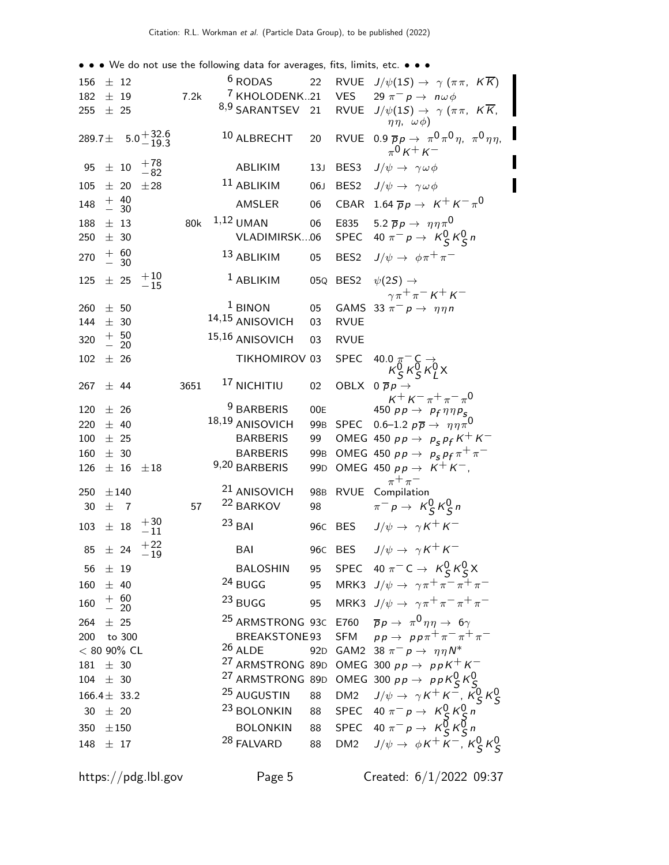• • • We do not use the following data for averages, fits, limits, etc. • • •

| 156 $\pm$ 12                                        |            |                                                 |                                                 |      | <sup>6</sup> RODAS                                   | 22              |                  | RVUE $J/\psi(1S) \rightarrow \gamma (\pi \pi, K \overline{K})$                                                                            |
|-----------------------------------------------------|------------|-------------------------------------------------|-------------------------------------------------|------|------------------------------------------------------|-----------------|------------------|-------------------------------------------------------------------------------------------------------------------------------------------|
| 182<br>255 $\pm$ 25                                 | $\pm$ 19   |                                                 |                                                 | 7.2k | <sup>7</sup> KHOLODENK21<br><sup>8,9</sup> SARANTSEV | 21              | <b>VES</b>       | 29 $\pi^ p \to n\omega\phi$<br>RVUE $J/\psi(1S) \rightarrow \gamma (\pi \pi, K \overline{K})$<br>$\eta\eta$ , $\omega\phi$ )              |
| 289.7 $\pm$                                         |            |                                                 | $5.0 + 32.6$<br>$-19.3$                         |      | 10 ALBRECHT                                          | 20              | <b>RVUE</b>      | $0.9 \overline{p}p \rightarrow \pi^0 \pi^0 \eta$ , $\pi^0 \eta \eta$ ,<br>$_{\pi}0_{K}$ + $_{K}$ -                                        |
| 95                                                  | $\pm$ 10   |                                                 | $+78$<br>$-82$                                  |      | ABLIKIM                                              | 13J             | BES3             | $J/\psi \rightarrow \gamma \omega \phi$                                                                                                   |
| 105                                                 |            | $\pm$ 20                                        | ±28                                             |      | $11$ ABLIKIM                                         | 06J             | BES <sub>2</sub> | $J/\psi \rightarrow \gamma \omega \phi$                                                                                                   |
| 148                                                 |            | $+ 40\n- 30$                                    |                                                 |      | AMSLER                                               | 06              |                  | CBAR 1.64 $\overline{p}p \rightarrow K^+ K^- \pi^0$                                                                                       |
| 188                                                 | $\pm$ 13   |                                                 |                                                 | 80k  | $1,12$ UMAN                                          | 06              | E835             | 5.2 $\overline{p}p \rightarrow \eta \eta \pi^0$                                                                                           |
| 250                                                 | $\pm$ 30   |                                                 |                                                 |      | VLADIMIRSK06                                         |                 |                  | SPEC 40 $\pi^- p \rightarrow K^0_S K^0_S n$                                                                                               |
| 270                                                 |            | $+ 60$<br>$- 30$                                |                                                 |      | 13 ABLIKIM                                           | 05              |                  | BES2 $J/\psi \rightarrow \phi \pi^+ \pi^-$                                                                                                |
| 125                                                 | $\pm$ 25   |                                                 | $\begin{array}{c} +10 \\[-4pt] -15 \end{array}$ |      | $1$ ABLIKIM                                          |                 |                  | 05Q BES2 $\psi(2S) \rightarrow$<br>$\gamma \pi^+ \pi^- K^+ K^-$                                                                           |
| 260                                                 | $\pm$ 50   |                                                 |                                                 |      | $1$ BINON                                            | 05              |                  | GAMS 33 $\pi^- p \rightarrow \eta \eta n$                                                                                                 |
| 144                                                 | $\pm$ 30   |                                                 |                                                 |      | 14,15 ANISOVICH                                      | 03              | <b>RVUE</b>      |                                                                                                                                           |
| 320                                                 |            | $\begin{array}{c} + & 50 \\ - & 20 \end{array}$ |                                                 |      | 15,16 ANISOVICH                                      | 03              | <b>RVUE</b>      |                                                                                                                                           |
| 102                                                 | ± 26       |                                                 |                                                 |      | TIKHOMIROV 03                                        |                 | <b>SPEC</b>      | 40.0 $\pi$ <sup>-</sup> C -><br>$K_S^0 K_S^0 K_L^0 X$                                                                                     |
| 267                                                 | $±$ 44     |                                                 |                                                 | 3651 | <sup>17</sup> NICHITIU                               | 02              |                  | OBLX $0 \overline{p} p \rightarrow$<br>$K^+ K^- \pi^+ \pi^- \pi^0$                                                                        |
| 120                                                 | ± 26       |                                                 |                                                 |      | <sup>9</sup> BARBERIS                                | 00E             |                  | 450 $pp \rightarrow$ $p_f \eta \eta p_s$                                                                                                  |
| 220                                                 | $\pm$ 40   |                                                 |                                                 |      | 18,19 ANISOVICH                                      |                 |                  | 99B SPEC 0.6-1.2 $p\overline{p} \rightarrow \eta \eta \pi^0$                                                                              |
|                                                     |            |                                                 |                                                 |      | <b>BARBERIS</b>                                      |                 |                  | OMEG 450 $p p \rightarrow p_S p_f K^+ K^-$                                                                                                |
| 100                                                 | $\pm$ 25   |                                                 |                                                 |      |                                                      | 99              |                  |                                                                                                                                           |
| 160                                                 |            | $\pm$ 30                                        |                                                 |      | <b>BARBERIS</b>                                      | 99 <sub>B</sub> |                  | OMEG 450 $pp \rightarrow p_S p_f \pi^+ \pi^-$                                                                                             |
| 126                                                 |            | $±$ 16                                          | $\pm 18$                                        |      | 9,20 BARBERIS                                        | 99 <sub>D</sub> |                  | OMEG 450 $pp \rightarrow K^+K^-$ ,                                                                                                        |
| 250                                                 | $\pm\,140$ |                                                 |                                                 |      | <sup>21</sup> ANISOVICH                              | 98 <sub>B</sub> |                  | $\pi^+\pi^-$                                                                                                                              |
| 30                                                  | $\pm$ 7    |                                                 |                                                 | 57   | <sup>22</sup> BARKOV                                 | 98              |                  | RVUE Compilation<br>$\pi^- p \to K^0_S K^0_S n$                                                                                           |
| $103 \pm 18$                                        |            |                                                 | $+30$<br>$-11$                                  |      | $23$ BAI                                             |                 | 96C BES          | $J/\psi \rightarrow \gamma K^+ K^-$                                                                                                       |
|                                                     |            |                                                 | $85 \pm 24 + 22 \atop -19$                      |      | BAI                                                  |                 |                  | 96C BES $J/\psi \rightarrow \gamma K^+ K^-$                                                                                               |
| 56 $\pm$ 19                                         |            |                                                 |                                                 |      |                                                      |                 |                  | BALOSHIN 95 SPEC 40 $\pi^-$ C $\rightarrow$ $K^0_S K^0_S X$                                                                               |
| $160 \pm 40$                                        |            |                                                 |                                                 |      | 24 BUGG                                              |                 |                  | 95 MRK3 $J/\psi \rightarrow \gamma \pi^+ \pi^- \pi^+ \pi^-$                                                                               |
| $160 \begin{array}{c} + & 60 \\ - & 20 \end{array}$ |            |                                                 |                                                 |      | $^{23}$ BUGG                                         |                 |                  | 95 MRK3 $J/\psi \rightarrow \gamma \pi^+ \pi^- \pi^+ \pi^-$                                                                               |
| 264 $\pm$ 25                                        |            |                                                 |                                                 |      |                                                      |                 |                  | <sup>25</sup> ARMSTRONG 93C E760 $\bar{p}p \rightarrow \pi^0 \eta \eta \rightarrow 6\gamma$                                               |
| 200 to 300                                          |            |                                                 |                                                 |      | BREAKSTONE 93                                        |                 |                  | SFM $pp \rightarrow pp\pi^{+}\pi^{-}\pi^{+}\pi^{-}$                                                                                       |
| $< 80$ 90% CL                                       |            |                                                 |                                                 |      | $26$ ALDE                                            |                 |                  | 92D GAM2 38 $\pi^ p \rightarrow \eta \eta N^*$                                                                                            |
| $181 \pm 30$                                        |            |                                                 |                                                 |      |                                                      |                 |                  | <sup>27</sup> ARMSTRONG 89D OMEG 300 $p p \rightarrow p p K^+ K^-$                                                                        |
| $104 \pm 30$                                        |            |                                                 |                                                 |      |                                                      |                 |                  | <sup>27</sup> ARMSTRONG 89D OMEG 300 $pp \rightarrow ppK_S^0K_S^0$                                                                        |
| $166.4 \pm 33.2$                                    |            |                                                 |                                                 |      | <sup>25</sup> AUGUSTIN                               | 88              |                  | DM2 $J/\psi \rightarrow \gamma K^+ K^-$ , $K_S^0 K_S^0$                                                                                   |
| $30 \pm 20$                                         |            |                                                 |                                                 |      | <sup>23</sup> BOLONKIN                               |                 |                  |                                                                                                                                           |
| 350 $\pm 150$<br>148 $\pm$ 17                       |            |                                                 |                                                 |      | <b>BOLONKIN</b><br><sup>28</sup> FALVARD             | 88              |                  | 88 SPEC 40 $\pi^- p \to K_S^0 K_S^0 n$<br>88 SPEC 40 $\pi^- p \to K_S^0 K_S^0 n$<br>DM2 $J/\psi \rightarrow \phi K^+ K^-$ , $K_S^0 K_S^0$ |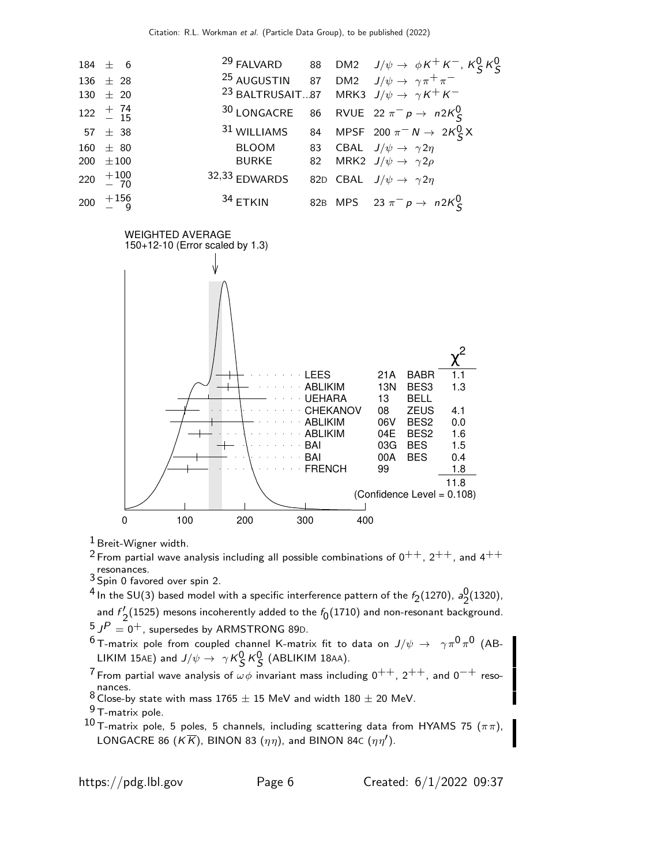

<sup>1</sup> Breit-Wigner width.

<sup>2</sup> From partial wave analysis including all possible combinations of  $0^{++}$ ,  $2^{++}$ , and  $4^{++}$ resonances.

Spin 0 favored over spin 2.

 $^4$  In the SU(3) based model with a specific interference pattern of the  $f_{\rm 2}(1270)$ ,  $a_{\rm 2}^{\rm 0}$  $\frac{0}{2}$ (1320), and  $f'$  $\frac{1}{2}$ (1525) mesons incoherently added to the  $f_0(1710)$  and non-resonant background.

 $^5$  J $^P=0^+$ , supersedes by <code>ARMSTRONG</code> 89D.

 $^6$ T-matrix pole from coupled channel K-matrix fit to data on  $J/\psi\,\rightarrow\,\,\,\gamma\pi^0\pi^0$  (AB-LIKIM 15AE) and  $J/\psi \rightarrow \gamma K_S^0 K_S^0$  (ABLIKIM 18AA).

7 From partial wave analysis of  $\omega \phi$  invariant mass including 0<sup>++</sup>, 2<sup>++</sup>, and 0<sup>-+</sup> resonances.

8 Close-by state with mass  $1765 \pm 15$  MeV and width  $180 \pm 20$  MeV.

 $^9$  T-matrix pole.

10 T-matrix pole, 5 poles, 5 channels, including scattering data from HYAMS 75  $(\pi \pi)$ , LONGACRE 86 ( $K\overline{K}$ ), BINON 83 ( $\eta\eta$ ), and BINON 84c ( $\eta\eta'$ ).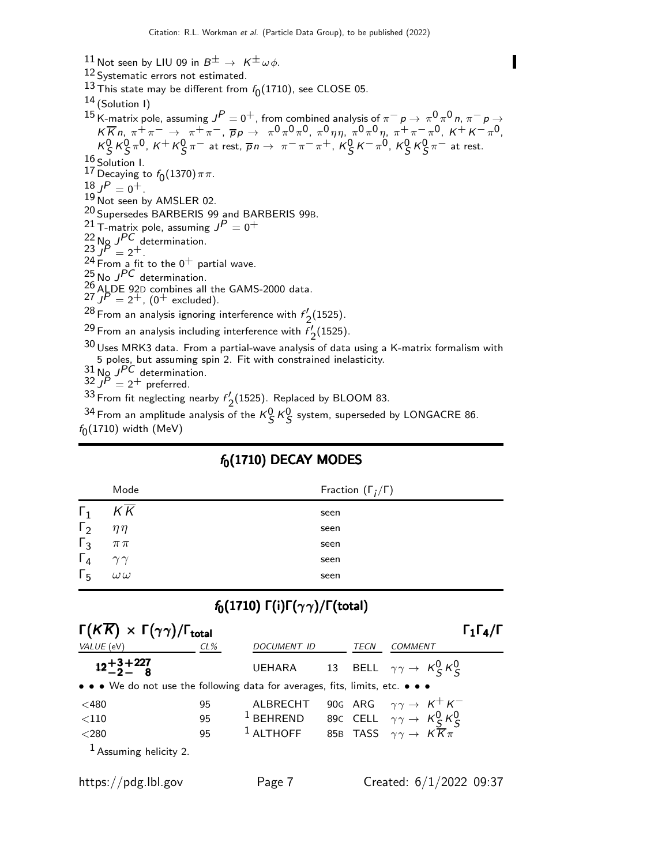- 11 Not seen by LIU 09 in  $B^{\pm} \to K^{\pm} \omega \phi$ .
- 12 Systematic errors not estimated.
- $^{13}$  This state may be different from  $f_0(1710)$ , see CLOSE 05.
- $14$  (Solution 1)

15 K-matrix pole, assuming  $J^P=0^+$ , from combined analysis of  $\pi^ p \to \pi^0 \pi^0 n$ ,  $\pi^ p \to 1^+$  $K \overline{K} n$ ,  $\pi^+ \pi^ \to \pi^+ \pi^-$ ,  $\overline{p} p \to \pi^0 \pi^0 \pi^0$ ,  $\pi^0 \eta \eta$ ,  $\pi^0 \pi^0 \eta$ ,  $\pi^+ \pi^- \pi^0$ ,  $K^+ K^- \pi^0$ ,  $K_S^0 K_S^0 \pi^0$ ,  $K^+ K_S^0 \pi^-$  at rest,  $\overline{p}n \to \pi^- \pi^- \pi^+$ ,  $K_S^0 K^- \pi^0$ ,  $K_S^0 K_S^0 \pi^-$  at rest.  $\frac{16}{12}$  Solution I. 17 Decaying to  $f_0(1370)\pi\pi$ .  $18 J^P = 0^+$ . 19 Not seen by AMSLER 02. 20 Supersedes BARBERIS 99 and BARBERIS 99B.  $^{21}$  T-matrix pole, assuming  $J^P=0^+$  $^{22}$  No  $J^{PC}$  determination.  $23 \overrightarrow{JP} = 2^+$ .  $24$  From a fit to the  $0^{+}$  partial wave.  $^{25}$  No J<sup>PC</sup> determination. 26 ALDE 92D combines all the GAMS-2000 data.  $27 \int P = 2^+$ , (0<sup>+</sup> excluded).  $^{28}$  From an analysis ignoring interference with  $f'$ .  $\frac{1}{2}$ (1525). <sup>29</sup> From an analysis including interference with  $f'_{2(1525)}$ .  $^{2}$  Crom an analysis including interference with  $^{7}$  2(1525).<br> $^{30}$  Uses MRK3 data. From a partial-wave analysis of data using a K-matrix formalism with 5 poles, but assuming spin 2. Fit with constrained inelasticity.  $^{31}$  No  $J^{PC}$  determination.

32 J P = 2+ preferred.

 $33$  From fit neglecting nearby  $f'$ .  $\frac{1}{2}$ (1525). Replaced by BLOOM 83.

<sup>34</sup> From an amplitude analysis of the  $K_S^0$   $K_S^0$  system, superseded by LONGACRE 86.  $f_0(1710)$  width (MeV)

| Mode             | Fraction $(\Gamma_i/\Gamma)$ |
|------------------|------------------------------|
| $K\overline{K}$  | seen                         |
| $\eta\eta$       | seen                         |
| $\pi\,\pi$       | seen                         |
| $\gamma\gamma$   | seen                         |
| $\omega\,\omega$ | seen                         |
|                  |                              |

### $f_0(1710)$  DECAY MODES

# $f_0(1710)$  Γ(i)Γ( $\gamma\gamma$ )/Γ(total)

| $\Gamma(K\overline{K}) \times \Gamma(\gamma\gamma)/\Gamma_{\text{total}}$     |        |                    |      | $\Gamma_1\Gamma_4/\Gamma$                               |
|-------------------------------------------------------------------------------|--------|--------------------|------|---------------------------------------------------------|
| VALUE (eV)                                                                    | $CL\%$ | <b>DOCUMENT ID</b> | TECN | COMMENT                                                 |
| $12 + 3 + 227$<br>$-2 - 8$                                                    |        |                    |      | UEHARA 13 BELL $\gamma \gamma \rightarrow K_S^0 K_S^0$  |
| • • • We do not use the following data for averages, fits, limits, etc. • • • |        |                    |      |                                                         |
| $<$ 480                                                                       | 95     | AI BRECHT          |      | 90G ARG $\gamma \gamma \rightarrow K^+ K^-$             |
| $<$ 110                                                                       | 95     | $1$ BEHREND        |      | 89c CELL $\gamma \gamma \rightarrow K_S^0 K_S^0$        |
| $<$ 280                                                                       | 95     | $1$ ALTHOFF        |      | 85B TASS $\gamma \gamma \rightarrow K \overline{K} \pi$ |
| $1$ Assuming helicity 2.                                                      |        |                    |      |                                                         |

https://pdg.lbl.gov Page 7 Created: 6/1/2022 09:37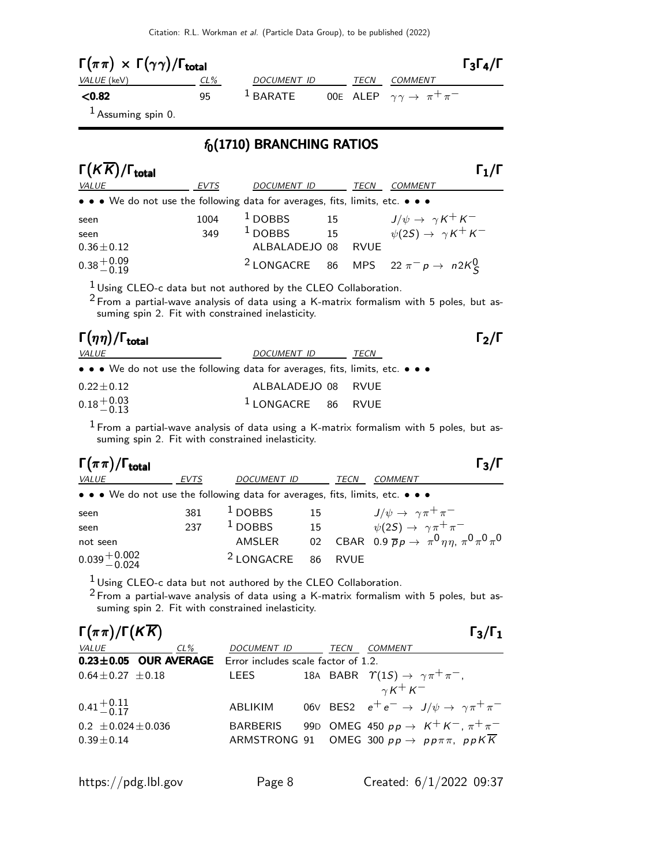| $\Gamma(\pi \pi) \times \Gamma(\gamma \gamma) / \Gamma_{\text{total}}$ |     |             |      | $\Gamma_3\Gamma_4/\Gamma$                     |
|------------------------------------------------------------------------|-----|-------------|------|-----------------------------------------------|
| <i>VALUE</i> (keV)                                                     | CL% | DOCUMENT ID | TECN | <i>COMMENT</i>                                |
| $<$ 0.82                                                               | 95. | $1$ BARATE  |      | OOE ALEP $\gamma\gamma\rightarrow~\pi^+\pi^-$ |
| $\frac{1}{2}$ Accuming coin 0                                          |     |             |      |                                               |

#### Assuming spin 0.

### $f_0(1710)$  BRANCHING RATIOS

| $\Gamma(K\overline{K})/\Gamma_{\text{total}}$                                 |      |                    |    |             |                                                                                            | $\Gamma_1/\Gamma$ |
|-------------------------------------------------------------------------------|------|--------------------|----|-------------|--------------------------------------------------------------------------------------------|-------------------|
| <i>VALUE</i>                                                                  | EVTS | <b>DOCUMENT ID</b> |    | TECN        | COMMENT                                                                                    |                   |
| • • • We do not use the following data for averages, fits, limits, etc. • • • |      |                    |    |             |                                                                                            |                   |
| seen                                                                          | 1004 | $1$ DOBBS          | 15 |             | 15 $J/\psi \rightarrow \gamma K^{+} K^{-}$<br>15 $\psi(2S) \rightarrow \gamma K^{+} K^{-}$ |                   |
| seen                                                                          | 349  | $1$ DOBBS          |    |             |                                                                                            |                   |
| $0.36 \pm 0.12$                                                               |      | ALBALADEJO 08      |    | <b>RVUF</b> |                                                                                            |                   |
| $0.38 + 0.09$<br>-0.19                                                        |      |                    |    |             | <sup>2</sup> LONGACRE 86 MPS 22 $\pi^- p \rightarrow n2K_S^0$                              |                   |

 $1$  Using CLEO-c data but not authored by the CLEO Collaboration.

 $^2$  From a partial-wave analysis of data using a K-matrix formalism with 5 poles, but assuming spin 2. Fit with constrained inelasticity.

### Γ $(\eta \eta)/\Gamma_{\rm total}$  Γ $_{2}/\Gamma$ VALUE VALUE POCUMENT ID TECN

 $\Gamma_2/\Gamma$ 

|                          | $\bullet \bullet \bullet$ We do not use the following data for averages, fits, limits, etc. $\bullet \bullet \bullet$ |  |
|--------------------------|-----------------------------------------------------------------------------------------------------------------------|--|
| $0.22 + 0.12$            | ALBALADEJO 08 RVUE                                                                                                    |  |
| $0.18 + 0.03$<br>$-0.13$ | $1$ LONGACRE 86 RVUE                                                                                                  |  |

 $1$  From a partial-wave analysis of data using a K-matrix formalism with 5 poles, but assuming spin 2. Fit with constrained inelasticity.

| $\Gamma_3/\Gamma$ |
|-------------------|
|                   |

| <i>VALUE</i>                                                                  | EVTS | DOCUMENT ID                   |    | TECN | <b>COMMENT</b>                                                    |
|-------------------------------------------------------------------------------|------|-------------------------------|----|------|-------------------------------------------------------------------|
| • • • We do not use the following data for averages, fits, limits, etc. • • • |      |                               |    |      |                                                                   |
| seen                                                                          | 381  | $1$ DOBBS                     | 15 |      | $J/\psi \rightarrow \gamma \pi^+ \pi^-$                           |
| seen                                                                          | 237  | $1$ DOBBS                     |    |      | 15 $\psi(2S) \rightarrow \gamma \pi^+ \pi^-$                      |
| not seen                                                                      |      | AMSLER                        |    |      | 02 CBAR 0.9 $\bar{p}_p \to \pi^0 \eta \eta$ , $\pi^0 \pi^0 \pi^0$ |
| $0.039 + 0.002$<br>$-0.024$                                                   |      | <sup>2</sup> LONGACRE 86 RVUE |    |      |                                                                   |

1 Using CLEO-c data but not authored by the CLEO Collaboration.

2 From a partial-wave analysis of data using a K-matrix formalism with 5 poles, but assuming spin 2. Fit with constrained inelasticity.

| $\Gamma(\pi\pi)/\Gamma(K\overline{K})$                           |                 |      | $\Gamma_3/\Gamma_1$                                                     |  |
|------------------------------------------------------------------|-----------------|------|-------------------------------------------------------------------------|--|
| <i>VALUE</i><br>$CL\%$                                           | DOCUMENT ID     | TECN | <i>COMMENT</i>                                                          |  |
| <b>0.23±0.05 OUR AVERAGE</b> Error includes scale factor of 1.2. |                 |      |                                                                         |  |
| $0.64 \pm 0.27 \pm 0.18$                                         | LEES            |      | 18A BABR $\Upsilon(1S) \rightarrow \gamma \pi^+ \pi^-$ ,                |  |
|                                                                  |                 |      | $\gamma K^+ K^-$                                                        |  |
| $0.41 + 0.11$<br>0.41 - 0.17                                     | ABLIKIM         |      | 06V BES2 $e^+e^- \rightarrow J/\psi \rightarrow \gamma \pi^+ \pi^-$     |  |
| $0.2 \pm 0.024 \pm 0.036$                                        | <b>BARBERIS</b> |      | 99D OMEG 450 $pp \to K^+ K^-$ , $\pi^+ \pi^-$                           |  |
| $0.39 + 0.14$                                                    |                 |      | ARMSTRONG 91 OMEG 300 $pp \rightarrow pp \pi \pi$ , $pp K \overline{K}$ |  |
|                                                                  |                 |      |                                                                         |  |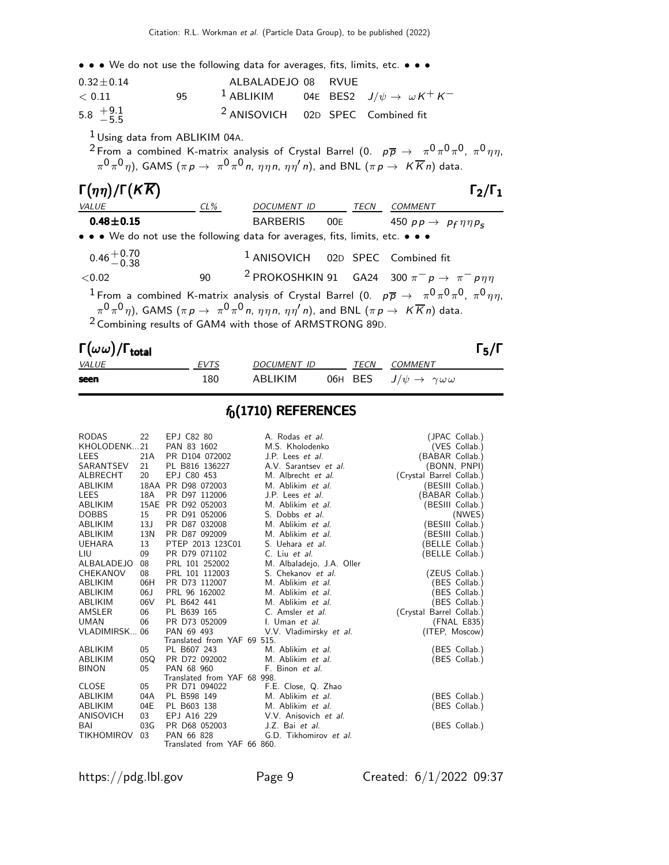• • • We do not use the following data for averages, fits, limits, etc. • • •

| $0.32 \pm 0.14$                                 |     | ALBALADEJO 08 RVUE                           |  |                                                                   |
|-------------------------------------------------|-----|----------------------------------------------|--|-------------------------------------------------------------------|
| < 0.11                                          | 95. |                                              |  | <sup>1</sup> ABLIKIM 04E BES2 $J/\psi \rightarrow \omega K^+ K^-$ |
| $5.8 \begin{array}{c} +9.1 \\ -5.5 \end{array}$ |     | <sup>2</sup> ANISOVICH 02D SPEC Combined fit |  |                                                                   |

1 Using data from ABLIKIM 04A.

 $^2$  From a combined K-matrix analysis of Crystal Barrel (0.  $\,$   $\,p\overline{p} \,\rightarrow \,\,\,\pi^0 \pi^0 \pi^0, \,\,\pi^0 \eta \eta,$  $\pi^0\pi^0\eta)$ , GAMS  $(\pi \, p \rightarrow \ \pi^0\pi^0\,$ n,  $\eta\eta\,\eta$ n,  $\eta\eta'\,$ n), and BNL  $(\pi \, p \rightarrow \ K\overline{K}\,$ n) data.

| $\Gamma(\eta\eta)/\Gamma(K\overline{K})$ |        |                                                                                                                                           |      | $\Gamma_2/\Gamma_1$                                                                                                              |
|------------------------------------------|--------|-------------------------------------------------------------------------------------------------------------------------------------------|------|----------------------------------------------------------------------------------------------------------------------------------|
| <i>VALUE</i>                             | $CL\%$ | DOCUMENT ID                                                                                                                               | TECN | <b>COMMENT</b>                                                                                                                   |
| $0.48 + 0.15$                            |        | BARBERIS 00E                                                                                                                              |      | 450 $pp \rightarrow pp \eta \eta p_s$                                                                                            |
|                                          |        | • • • We do not use the following data for averages, fits, limits, etc. • • •                                                             |      |                                                                                                                                  |
| $0.46 + 0.70$<br>0.46 - 0.38             |        | <sup>1</sup> ANISOVICH 02D SPEC Combined fit                                                                                              |      |                                                                                                                                  |
| < 0.02                                   | 90     |                                                                                                                                           |      | <sup>2</sup> PROKOSHKIN 91 GA24 300 $\pi^- p \rightarrow \pi^- p \eta \eta$                                                      |
|                                          |        | $\pi^0 \pi^0 \eta$ ), GAMS ( $\pi p \to \pi^0 \pi^0 n$ , $\eta \eta n$ , $\eta \eta' n$ ), and BNL ( $\pi p \to K \overline{K} n$ ) data. |      | <sup>1</sup> From a combined K-matrix analysis of Crystal Barrel (0. $p\overline{p} \to \pi^0 \pi^0 \pi^0$ , $\pi^0 \eta \eta$ , |

<sup>2</sup> Combining results of GAM4 with those of ARMSTRONG 89D.

| $\Gamma(\omega\,\omega)/\Gamma_{\rm total}$ |             |                    |      |                                                   | $\Gamma_5/\Gamma$ |
|---------------------------------------------|-------------|--------------------|------|---------------------------------------------------|-------------------|
| <i>VALUE</i>                                | <b>EVTS</b> | <i>DOCUMENT ID</i> | TECN | <i>COMMENT</i>                                    |                   |
| seen                                        | 180         | ABLIKIM            |      | 06H BES $J/\psi \rightarrow \gamma \omega \omega$ |                   |

## $f_0(1710)$  REFERENCES

| <b>RODAS</b>    | 22  | EPJ C82 80                  | A. Rodas et al.           | (JPAC Collab.)           |
|-----------------|-----|-----------------------------|---------------------------|--------------------------|
| KHOLODENK21     |     | PAN 83 1602                 | M.S. Kholodenko           | (VES Collab.)            |
| LEES            | 21A | PR D104 072002              | J.P. Lees <i>et al.</i>   | (BABAR Collab.)          |
| SARANTSEV       | 21  | PL B816 136227              | A.V. Sarantsev et al.     | (BONN, PNPI)             |
| ALBRECHT        | 20  | EPJ C80 453                 | M. Albrecht et al.        | (Crystal Barrel Collab.) |
| <b>ABLIKIM</b>  |     | 18AA PR D98 072003          | M. Ablikim et al.         | (BESIII Collab.)         |
| <b>LEES</b>     | 18A | PR D97 112006               | J.P. Lees et al.          | (BABAR Collab.)          |
| ABLIKIM         |     | 15AE PR D92 052003          | M. Ablikim et al.         | (BESIII Collab.)         |
| <b>DOBBS</b>    | 15  | PR D91 052006               | S. Dobbs et al.           | (NWES)                   |
| <b>ABLIKIM</b>  | 13J | PR D87 032008               | M. Ablikim et al.         | (BESIII Collab.)         |
| ABLIKIM         | 13N | PR D87 092009               | M. Ablikim et al.         | (BESIII Collab.)         |
| <b>UEHARA</b>   | 13  | PTEP 2013 123C01            | S. Uehara et al.          | (BELLE Collab.)          |
| LIU             | 09  | PR D79 071102               | C. Liu et al.             | (BELLE Collab.)          |
| ALBALADEJO      | 08  | PRL 101 252002              | M. Albaladejo, J.A. Oller |                          |
| <b>CHEKANOV</b> | 08  | PRL 101 112003              | S. Chekanov et al.        | (ZEUS Collab.)           |
| ABLIKIM         | 06H | PR D73 112007               | M. Ablikim et al.         | (BES Collab.)            |
| <b>ABLIKIM</b>  | 06J | PRL 96 162002               | M. Ablikim et al.         | (BES Collab.)            |
| ABLIKIM         | 06V | PL B642 441                 | M. Ablikim et al.         | (BES Collab.)            |
| AMSLER          | 06  | PL B639 165                 | C. Amsler et al.          | (Crystal Barrel Collab.) |
| <b>UMAN</b>     | 06  | PR D73 052009               | I. Uman et al.            | (FNAL E835)              |
| VLADIMIRSK 06   |     | PAN 69 493                  | V.V. Vladimirsky et al.   | (ITEP, Moscow)           |
|                 |     | Translated from YAF 69 515. |                           |                          |
| ABLIKIM         | 05  | PL B607 243                 | M. Ablikim et al.         | (BES Collab.)            |
| ABLIKIM         | 05Q | PR D72 092002               | M. Ablikim et al.         | (BES Collab.)            |
| <b>BINON</b>    | 05  | PAN 68 960                  | F. Binon et al.           |                          |
|                 |     | Translated from YAF 68 998. |                           |                          |
| <b>CLOSE</b>    | 05  | PR D71 094022               | F.E. Close, Q. Zhao       |                          |
| <b>ABLIKIM</b>  | 04A | PL B598 149                 | M. Ablikim et al.         | (BES Collab.)            |
| ABLIKIM         | 04E | PL B603 138                 | M. Ablikim et al.         | (BES Collab.)            |
| ANISOVICH       | 03  | EPJ A16 229                 | V.V. Anisovich et al.     |                          |
| BAI             | 03G | PR D68 052003               | J.Z. Bai et al.           | (BES Collab.)            |
| TIKHOMIROV      | 03  | PAN 66 828                  | G.D. Tikhomirov et al.    |                          |
|                 |     | Translated from YAF 66 860. |                           |                          |